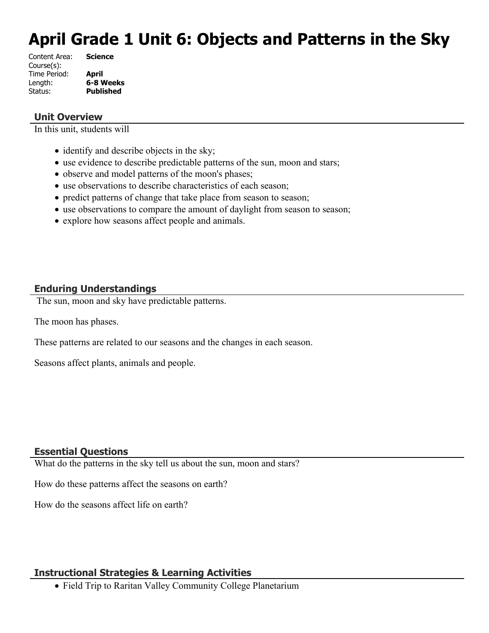# **April Grade 1 Unit 6: Objects and Patterns in the Sky**

| <b>Science</b>   |
|------------------|
|                  |
| April            |
| 6-8 Weeks        |
| <b>Published</b> |
|                  |

#### **Unit Overview**

In this unit, students will

- identify and describe objects in the sky;
- use evidence to describe predictable patterns of the sun, moon and stars;
- observe and model patterns of the moon's phases;
- use observations to describe characteristics of each season;
- predict patterns of change that take place from season to season;
- use observations to compare the amount of daylight from season to season;
- explore how seasons affect people and animals.

## **Enduring Understandings**

The sun, moon and sky have predictable patterns.

The moon has phases.

These patterns are related to our seasons and the changes in each season.

Seasons affect plants, animals and people.

#### **Essential Questions**

What do the patterns in the sky tell us about the sun, moon and stars?

How do these patterns affect the seasons on earth?

How do the seasons affect life on earth?

#### **Instructional Strategies & Learning Activities**

Field Trip to Raritan Valley Community College Planetarium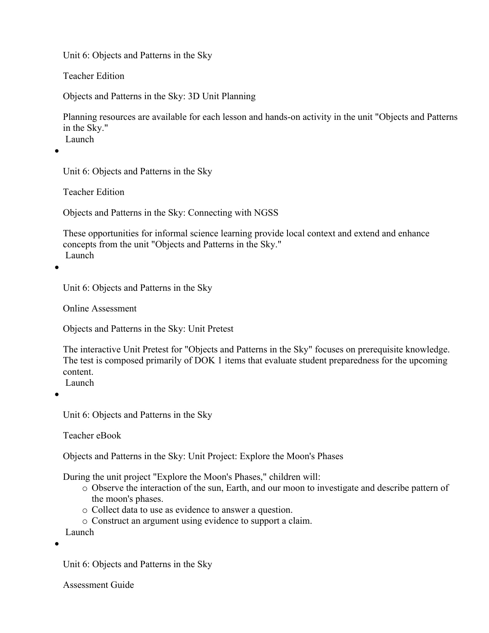Teacher Edition

Objects and Patterns in the Sky: 3D Unit Planning

Planning resources are available for each lesson and hands-on activity in the unit "Objects and Patterns in the Sky." Launch

 $\bullet$ 

Unit 6: Objects and Patterns in the Sky

Teacher Edition

Objects and Patterns in the Sky: Connecting with NGSS

These opportunities for informal science learning provide local context and extend and enhance concepts from the unit "Objects and Patterns in the Sky." Launch

 $\bullet$ 

Unit 6: Objects and Patterns in the Sky

Online Assessment

Objects and Patterns in the Sky: Unit Pretest

The interactive Unit Pretest for "Objects and Patterns in the Sky" focuses on prerequisite knowledge. The test is composed primarily of DOK 1 items that evaluate student preparedness for the upcoming content.

Launch

 $\bullet$ 

Unit 6: Objects and Patterns in the Sky

Teacher eBook

Objects and Patterns in the Sky: Unit Project: Explore the Moon's Phases

During the unit project "Explore the Moon's Phases," children will:

- o Observe the interaction of the sun, Earth, and our moon to investigate and describe pattern of the moon's phases.
- o Collect data to use as evidence to answer a question.
- o Construct an argument using evidence to support a claim.

Launch

 $\bullet$ 

Unit 6: Objects and Patterns in the Sky

Assessment Guide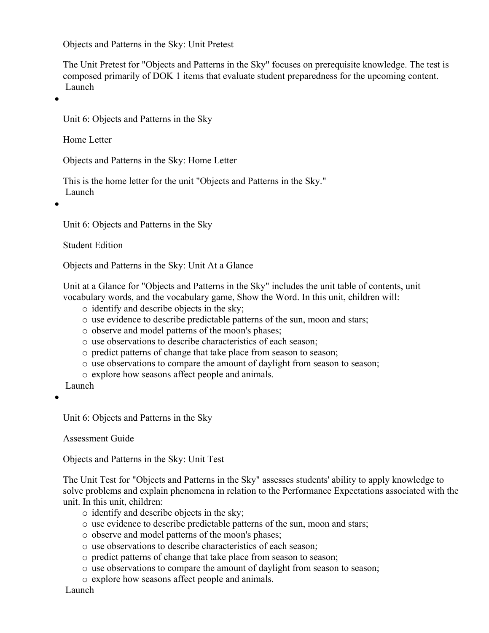Objects and Patterns in the Sky: Unit Pretest

The Unit Pretest for "Objects and Patterns in the Sky" focuses on prerequisite knowledge. The test is composed primarily of DOK 1 items that evaluate student preparedness for the upcoming content. Launch

 $\bullet$ 

Unit 6: Objects and Patterns in the Sky

Home Letter

Objects and Patterns in the Sky: Home Letter

This is the home letter for the unit "Objects and Patterns in the Sky." Launch

 $\bullet$ 

Unit 6: Objects and Patterns in the Sky

Student Edition

Objects and Patterns in the Sky: Unit At a Glance

Unit at a Glance for "Objects and Patterns in the Sky" includes the unit table of contents, unit vocabulary words, and the vocabulary game, Show the Word. In this unit, children will:

- o identify and describe objects in the sky;
- o use evidence to describe predictable patterns of the sun, moon and stars;
- o observe and model patterns of the moon's phases;
- o use observations to describe characteristics of each season;
- o predict patterns of change that take place from season to season;
- o use observations to compare the amount of daylight from season to season;
- o explore how seasons affect people and animals.

Launch

 $\bullet$ 

Unit 6: Objects and Patterns in the Sky

Assessment Guide

Objects and Patterns in the Sky: Unit Test

The Unit Test for "Objects and Patterns in the Sky" assesses students' ability to apply knowledge to solve problems and explain phenomena in relation to the Performance Expectations associated with the unit. In this unit, children:

- o identify and describe objects in the sky;
- o use evidence to describe predictable patterns of the sun, moon and stars;
- o observe and model patterns of the moon's phases;
- o use observations to describe characteristics of each season;
- o predict patterns of change that take place from season to season;
- o use observations to compare the amount of daylight from season to season;
- o explore how seasons affect people and animals.

Launch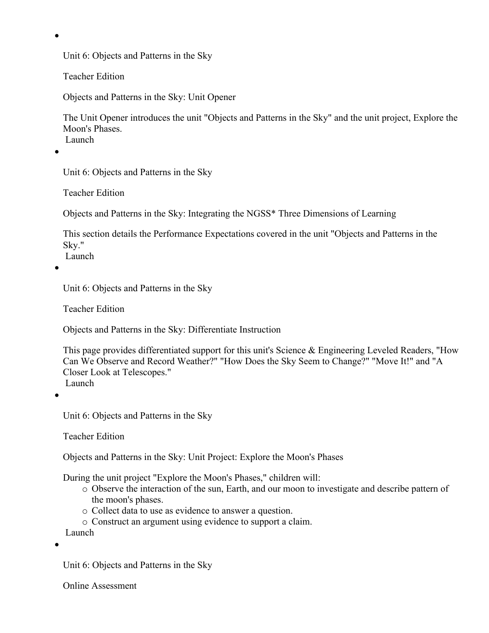Teacher Edition

Objects and Patterns in the Sky: Unit Opener

The Unit Opener introduces the unit "Objects and Patterns in the Sky" and the unit project, Explore the Moon's Phases. Launch

 $\bullet$ 

 $\bullet$ 

Unit 6: Objects and Patterns in the Sky

Teacher Edition

Objects and Patterns in the Sky: Integrating the NGSS\* Three Dimensions of Learning

This section details the Performance Expectations covered in the unit "Objects and Patterns in the Sky."

Launch

 $\bullet$ 

Unit 6: Objects and Patterns in the Sky

Teacher Edition

Objects and Patterns in the Sky: Differentiate Instruction

This page provides differentiated support for this unit's Science & Engineering Leveled Readers, "How Can We Observe and Record Weather?" "How Does the Sky Seem to Change?" "Move It!" and "A Closer Look at Telescopes." Launch

 $\bullet$ 

Unit 6: Objects and Patterns in the Sky

Teacher Edition

Objects and Patterns in the Sky: Unit Project: Explore the Moon's Phases

During the unit project "Explore the Moon's Phases," children will:

- o Observe the interaction of the sun, Earth, and our moon to investigate and describe pattern of the moon's phases.
- o Collect data to use as evidence to answer a question.
- o Construct an argument using evidence to support a claim.

Launch

 $\bullet$ 

Unit 6: Objects and Patterns in the Sky

Online Assessment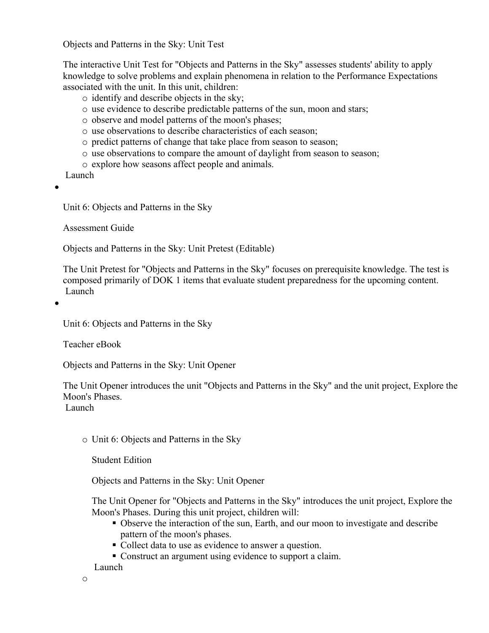Objects and Patterns in the Sky: Unit Test

The interactive Unit Test for "Objects and Patterns in the Sky" assesses students' ability to apply knowledge to solve problems and explain phenomena in relation to the Performance Expectations associated with the unit. In this unit, children:

- o identify and describe objects in the sky;
- o use evidence to describe predictable patterns of the sun, moon and stars;
- o observe and model patterns of the moon's phases;
- o use observations to describe characteristics of each season;
- o predict patterns of change that take place from season to season;
- o use observations to compare the amount of daylight from season to season;
- o explore how seasons affect people and animals.

Launch

 $\bullet$ 

Unit 6: Objects and Patterns in the Sky

Assessment Guide

Objects and Patterns in the Sky: Unit Pretest (Editable)

The Unit Pretest for "Objects and Patterns in the Sky" focuses on prerequisite knowledge. The test is composed primarily of DOK 1 items that evaluate student preparedness for the upcoming content. Launch

 $\bullet$ 

Unit 6: Objects and Patterns in the Sky

Teacher eBook

Objects and Patterns in the Sky: Unit Opener

The Unit Opener introduces the unit "Objects and Patterns in the Sky" and the unit project, Explore the Moon's Phases.

Launch

o Unit 6: Objects and Patterns in the Sky

Student Edition

Objects and Patterns in the Sky: Unit Opener

The Unit Opener for "Objects and Patterns in the Sky" introduces the unit project, Explore the Moon's Phases. During this unit project, children will:

- Observe the interaction of the sun, Earth, and our moon to investigate and describe pattern of the moon's phases.
- Collect data to use as evidence to answer a question.
- Construct an argument using evidence to support a claim.

Launch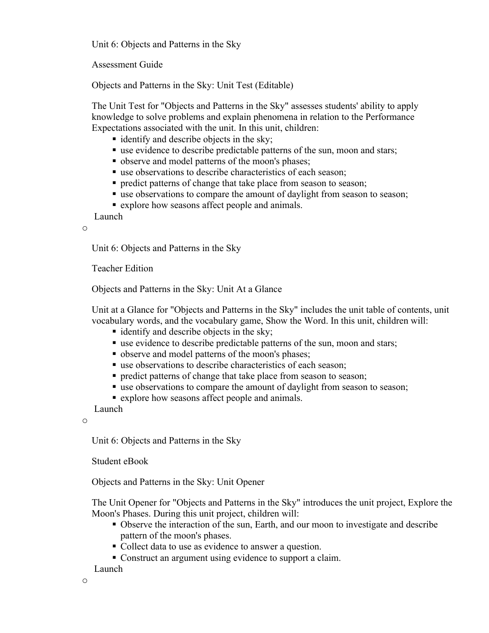Assessment Guide

Objects and Patterns in the Sky: Unit Test (Editable)

The Unit Test for "Objects and Patterns in the Sky" assesses students' ability to apply knowledge to solve problems and explain phenomena in relation to the Performance Expectations associated with the unit. In this unit, children:

- identify and describe objects in the sky;
- use evidence to describe predictable patterns of the sun, moon and stars;
- observe and model patterns of the moon's phases;
- use observations to describe characteristics of each season;
- **Periode patterns of change that take place from season to season;**
- use observations to compare the amount of daylight from season to season;
- **Explore how seasons affect people and animals.**

Launch

o

Unit 6: Objects and Patterns in the Sky

Teacher Edition

Objects and Patterns in the Sky: Unit At a Glance

Unit at a Glance for "Objects and Patterns in the Sky" includes the unit table of contents, unit vocabulary words, and the vocabulary game, Show the Word. In this unit, children will:

- identify and describe objects in the sky;
- use evidence to describe predictable patterns of the sun, moon and stars;
- observe and model patterns of the moon's phases;
- use observations to describe characteristics of each season;
- **predict patterns of change that take place from season to season;**
- use observations to compare the amount of daylight from season to season;
- explore how seasons affect people and animals.

Launch

o

Unit 6: Objects and Patterns in the Sky

Student eBook

Objects and Patterns in the Sky: Unit Opener

The Unit Opener for "Objects and Patterns in the Sky" introduces the unit project, Explore the Moon's Phases. During this unit project, children will:

- Observe the interaction of the sun, Earth, and our moon to investigate and describe pattern of the moon's phases.
- Collect data to use as evidence to answer a question.
- Construct an argument using evidence to support a claim.
- Launch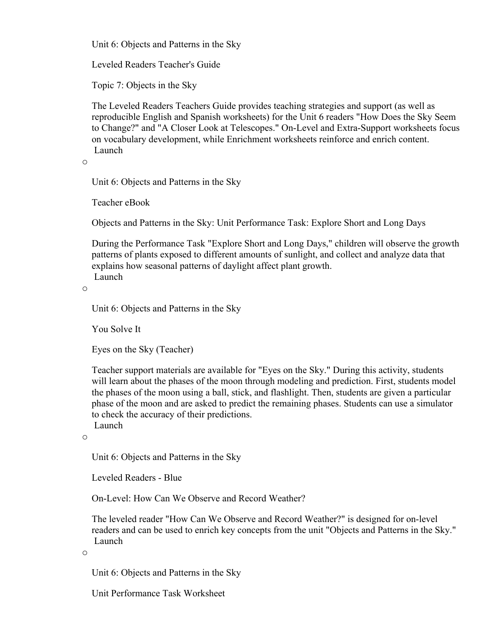Leveled Readers Teacher's Guide

Topic 7: Objects in the Sky

The Leveled Readers Teachers Guide provides teaching strategies and support (as well as reproducible English and Spanish worksheets) for the Unit 6 readers "How Does the Sky Seem to Change?" and "A Closer Look at Telescopes." On-Level and Extra-Support worksheets focus on vocabulary development, while Enrichment worksheets reinforce and enrich content. Launch

```
o
```
Unit 6: Objects and Patterns in the Sky

Teacher eBook

Objects and Patterns in the Sky: Unit Performance Task: Explore Short and Long Days

During the Performance Task "Explore Short and Long Days," children will observe the growth patterns of plants exposed to different amounts of sunlight, and collect and analyze data that explains how seasonal patterns of daylight affect plant growth. Launch

o

Unit 6: Objects and Patterns in the Sky

You Solve It

Eyes on the Sky (Teacher)

Teacher support materials are available for "Eyes on the Sky." During this activity, students will learn about the phases of the moon through modeling and prediction. First, students model the phases of the moon using a ball, stick, and flashlight. Then, students are given a particular phase of the moon and are asked to predict the remaining phases. Students can use a simulator to check the accuracy of their predictions. Launch

o

Unit 6: Objects and Patterns in the Sky

Leveled Readers - Blue

On-Level: How Can We Observe and Record Weather?

The leveled reader "How Can We Observe and Record Weather?" is designed for on-level readers and can be used to enrich key concepts from the unit "Objects and Patterns in the Sky." Launch

o

Unit 6: Objects and Patterns in the Sky

Unit Performance Task Worksheet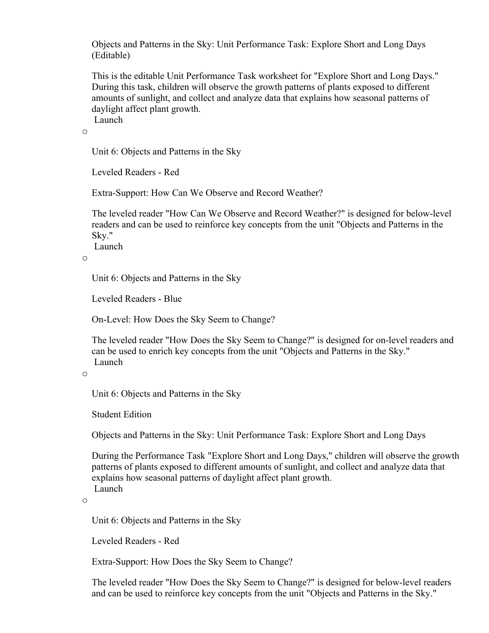Objects and Patterns in the Sky: Unit Performance Task: Explore Short and Long Days (Editable)

This is the editable Unit Performance Task worksheet for "Explore Short and Long Days." During this task, children will observe the growth patterns of plants exposed to different amounts of sunlight, and collect and analyze data that explains how seasonal patterns of daylight affect plant growth. Launch

o

Unit 6: Objects and Patterns in the Sky

Leveled Readers - Red

Extra-Support: How Can We Observe and Record Weather?

The leveled reader "How Can We Observe and Record Weather?" is designed for below-level readers and can be used to reinforce key concepts from the unit "Objects and Patterns in the Sky."

Launch

o

Unit 6: Objects and Patterns in the Sky

Leveled Readers - Blue

On-Level: How Does the Sky Seem to Change?

The leveled reader "How Does the Sky Seem to Change?" is designed for on-level readers and can be used to enrich key concepts from the unit "Objects and Patterns in the Sky." Launch

o

Unit 6: Objects and Patterns in the Sky

Student Edition

Objects and Patterns in the Sky: Unit Performance Task: Explore Short and Long Days

During the Performance Task "Explore Short and Long Days," children will observe the growth patterns of plants exposed to different amounts of sunlight, and collect and analyze data that explains how seasonal patterns of daylight affect plant growth. Launch

o

Unit 6: Objects and Patterns in the Sky

Leveled Readers - Red

Extra-Support: How Does the Sky Seem to Change?

The leveled reader "How Does the Sky Seem to Change?" is designed for below-level readers and can be used to reinforce key concepts from the unit "Objects and Patterns in the Sky."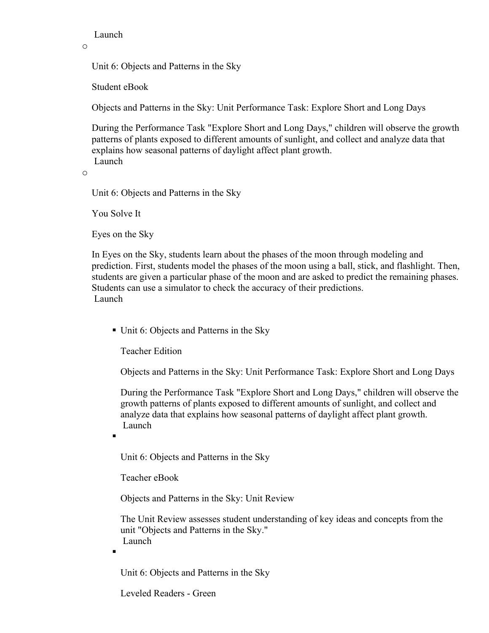Launch

o

Unit 6: Objects and Patterns in the Sky

Student eBook

Objects and Patterns in the Sky: Unit Performance Task: Explore Short and Long Days

During the Performance Task "Explore Short and Long Days," children will observe the growth patterns of plants exposed to different amounts of sunlight, and collect and analyze data that explains how seasonal patterns of daylight affect plant growth. Launch

o

Unit 6: Objects and Patterns in the Sky

You Solve It

Eyes on the Sky

In Eyes on the Sky, students learn about the phases of the moon through modeling and prediction. First, students model the phases of the moon using a ball, stick, and flashlight. Then, students are given a particular phase of the moon and are asked to predict the remaining phases. Students can use a simulator to check the accuracy of their predictions. Launch

■ Unit 6: Objects and Patterns in the Sky

Teacher Edition

Objects and Patterns in the Sky: Unit Performance Task: Explore Short and Long Days

During the Performance Task "Explore Short and Long Days," children will observe the growth patterns of plants exposed to different amounts of sunlight, and collect and analyze data that explains how seasonal patterns of daylight affect plant growth. Launch

 $\blacksquare$ 

Unit 6: Objects and Patterns in the Sky

Teacher eBook

Objects and Patterns in the Sky: Unit Review

The Unit Review assesses student understanding of key ideas and concepts from the unit "Objects and Patterns in the Sky." Launch

.

Unit 6: Objects and Patterns in the Sky

Leveled Readers - Green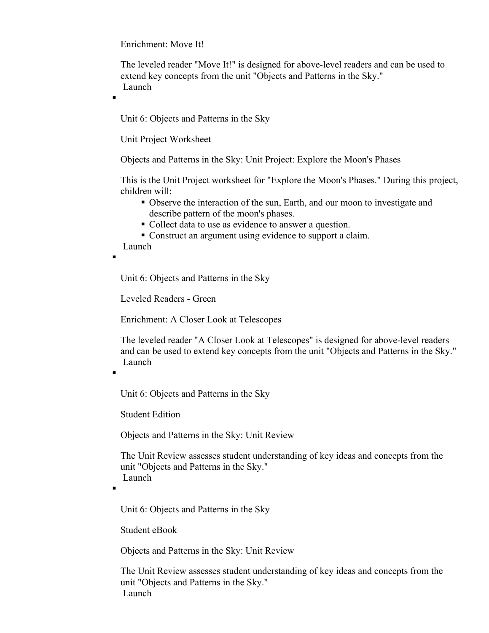Enrichment: Move It!

The leveled reader "Move It!" is designed for above-level readers and can be used to extend key concepts from the unit "Objects and Patterns in the Sky." Launch

.

Unit 6: Objects and Patterns in the Sky

Unit Project Worksheet

Objects and Patterns in the Sky: Unit Project: Explore the Moon's Phases

This is the Unit Project worksheet for "Explore the Moon's Phases." During this project, children will:

- Observe the interaction of the sun, Earth, and our moon to investigate and describe pattern of the moon's phases.
- Collect data to use as evidence to answer a question.
- Construct an argument using evidence to support a claim.

Launch

Unit 6: Objects and Patterns in the Sky

Leveled Readers - Green

Enrichment: A Closer Look at Telescopes

The leveled reader "A Closer Look at Telescopes" is designed for above-level readers and can be used to extend key concepts from the unit "Objects and Patterns in the Sky." Launch

.

 $\blacksquare$ 

Unit 6: Objects and Patterns in the Sky

Student Edition

Objects and Patterns in the Sky: Unit Review

The Unit Review assesses student understanding of key ideas and concepts from the unit "Objects and Patterns in the Sky." Launch

.

Unit 6: Objects and Patterns in the Sky

Student eBook

Objects and Patterns in the Sky: Unit Review

The Unit Review assesses student understanding of key ideas and concepts from the unit "Objects and Patterns in the Sky." Launch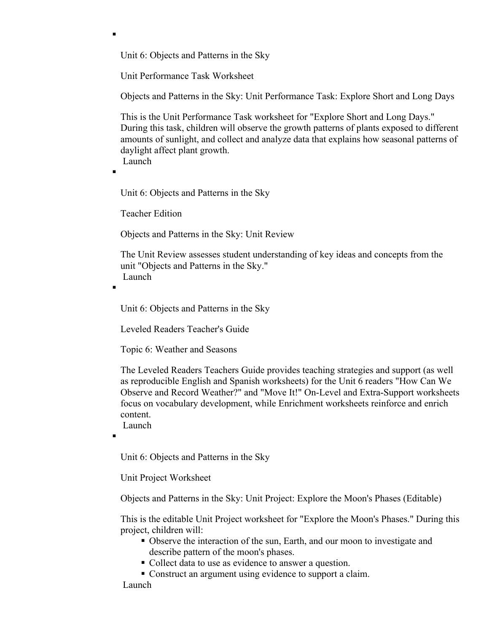Unit Performance Task Worksheet

Objects and Patterns in the Sky: Unit Performance Task: Explore Short and Long Days

This is the Unit Performance Task worksheet for "Explore Short and Long Days." During this task, children will observe the growth patterns of plants exposed to different amounts of sunlight, and collect and analyze data that explains how seasonal patterns of daylight affect plant growth. Launch

.

 $\blacksquare$ 

Unit 6: Objects and Patterns in the Sky

Teacher Edition

Objects and Patterns in the Sky: Unit Review

The Unit Review assesses student understanding of key ideas and concepts from the unit "Objects and Patterns in the Sky." Launch

 $\blacksquare$ 

Unit 6: Objects and Patterns in the Sky

Leveled Readers Teacher's Guide

Topic 6: Weather and Seasons

The Leveled Readers Teachers Guide provides teaching strategies and support (as well as reproducible English and Spanish worksheets) for the Unit 6 readers "How Can We Observe and Record Weather?" and "Move It!" On-Level and Extra-Support worksheets focus on vocabulary development, while Enrichment worksheets reinforce and enrich content.

Launch

 $\blacksquare$ 

Unit 6: Objects and Patterns in the Sky

Unit Project Worksheet

Objects and Patterns in the Sky: Unit Project: Explore the Moon's Phases (Editable)

This is the editable Unit Project worksheet for "Explore the Moon's Phases." During this project, children will:

- Observe the interaction of the sun, Earth, and our moon to investigate and describe pattern of the moon's phases.
- Collect data to use as evidence to answer a question.
- Construct an argument using evidence to support a claim.

Launch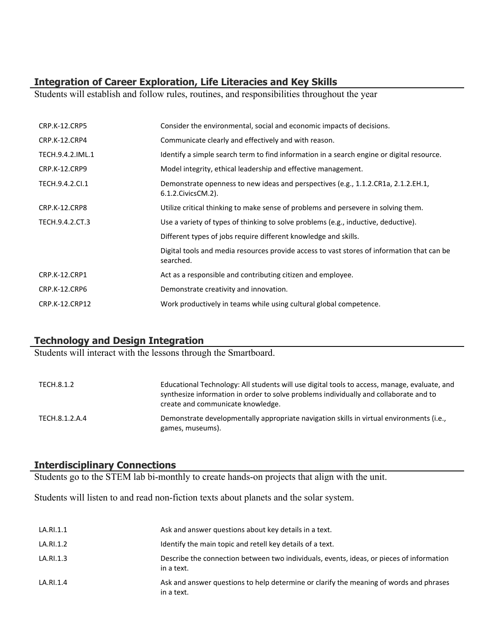## **Integration of Career Exploration, Life Literacies and Key Skills**

Students will establish and follow rules, routines, and responsibilities throughout the year

| CRP.K-12.CRP5        | Consider the environmental, social and economic impacts of decisions.                                      |
|----------------------|------------------------------------------------------------------------------------------------------------|
| CRP.K-12.CRP4        | Communicate clearly and effectively and with reason.                                                       |
| TECH.9.4.2.IML.1     | Identify a simple search term to find information in a search engine or digital resource.                  |
| <b>CRP.K-12.CRP9</b> | Model integrity, ethical leadership and effective management.                                              |
| TECH.9.4.2.Cl.1      | Demonstrate openness to new ideas and perspectives (e.g., 1.1.2.CR1a, 2.1.2.EH.1,<br>6.1.2. Civics CM. 2). |
| CRP.K-12.CRP8        | Utilize critical thinking to make sense of problems and persevere in solving them.                         |
| TECH.9.4.2.CT.3      | Use a variety of types of thinking to solve problems (e.g., inductive, deductive).                         |
|                      | Different types of jobs require different knowledge and skills.                                            |
|                      | Digital tools and media resources provide access to vast stores of information that can be<br>searched.    |
| <b>CRP.K-12.CRP1</b> | Act as a responsible and contributing citizen and employee.                                                |
| <b>CRP.K-12.CRP6</b> | Demonstrate creativity and innovation.                                                                     |
| CRP.K-12.CRP12       | Work productively in teams while using cultural global competence.                                         |

# **Technology and Design Integration**

Students will interact with the lessons through the Smartboard.

| TECH.8.1.2     | Educational Technology: All students will use digital tools to access, manage, evaluate, and<br>synthesize information in order to solve problems individually and collaborate and to<br>create and communicate knowledge. |
|----------------|----------------------------------------------------------------------------------------------------------------------------------------------------------------------------------------------------------------------------|
| TECH.8.1.2.A.4 | Demonstrate developmentally appropriate navigation skills in virtual environments (i.e.,<br>games, museums).                                                                                                               |

#### **Interdisciplinary Connections**

Students go to the STEM lab bi-monthly to create hands-on projects that align with the unit.

Students will listen to and read non-fiction texts about planets and the solar system.

| LA.RI.1.1 | Ask and answer questions about key details in a text.                                                  |
|-----------|--------------------------------------------------------------------------------------------------------|
| LA.RI.1.2 | Identify the main topic and retell key details of a text.                                              |
| LA.RI.1.3 | Describe the connection between two individuals, events, ideas, or pieces of information<br>in a text. |
| LA.RI.1.4 | Ask and answer questions to help determine or clarify the meaning of words and phrases<br>in a text.   |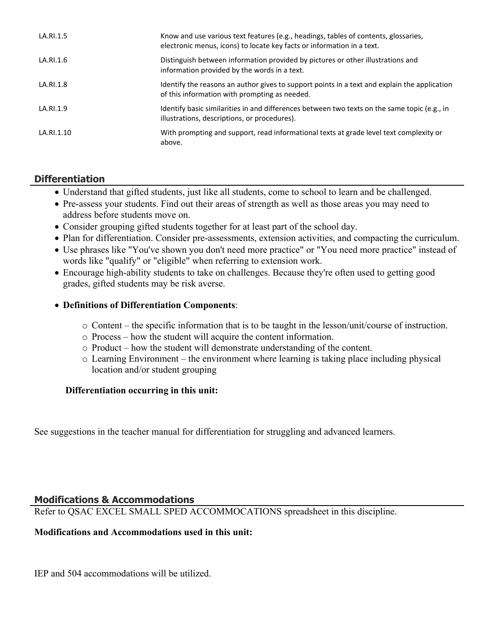| LA.RI.1.5  | Know and use various text features (e.g., headings, tables of contents, glossaries,<br>electronic menus, icons) to locate key facts or information in a text. |
|------------|---------------------------------------------------------------------------------------------------------------------------------------------------------------|
| LA.RI.1.6  | Distinguish between information provided by pictures or other illustrations and<br>information provided by the words in a text.                               |
| LA.RI.1.8  | Identify the reasons an author gives to support points in a text and explain the application<br>of this information with prompting as needed.                 |
| LA.RI.1.9  | Identify basic similarities in and differences between two texts on the same topic (e.g., in<br>illustrations, descriptions, or procedures).                  |
| LA.RI.1.10 | With prompting and support, read informational texts at grade level text complexity or<br>above.                                                              |

# **Differentiation**

- Understand that gifted students, just like all students, come to school to learn and be challenged.
- Pre-assess your students. Find out their areas of strength as well as those areas you may need to address before students move on.
- Consider grouping gifted students together for at least part of the school day.
- Plan for differentiation. Consider pre-assessments, extension activities, and compacting the curriculum.
- Use phrases like "You've shown you don't need more practice" or "You need more practice" instead of words like "qualify" or "eligible" when referring to extension work.
- Encourage high-ability students to take on challenges. Because they're often used to getting good grades, gifted students may be risk averse.

## **Definitions of Differentiation Components**:

- o Content the specific information that is to be taught in the lesson/unit/course of instruction.
- o Process how the student will acquire the content information.
- o Product how the student will demonstrate understanding of the content.
- o Learning Environment the environment where learning is taking place including physical location and/or student grouping

## **Differentiation occurring in this unit:**

See suggestions in the teacher manual for differentiation for struggling and advanced learners.

## **Modifications & Accommodations**

Refer to QSAC EXCEL SMALL SPED ACCOMMOCATIONS spreadsheet in this discipline.

## **Modifications and Accommodations used in this unit:**

IEP and 504 accommodations will be utilized.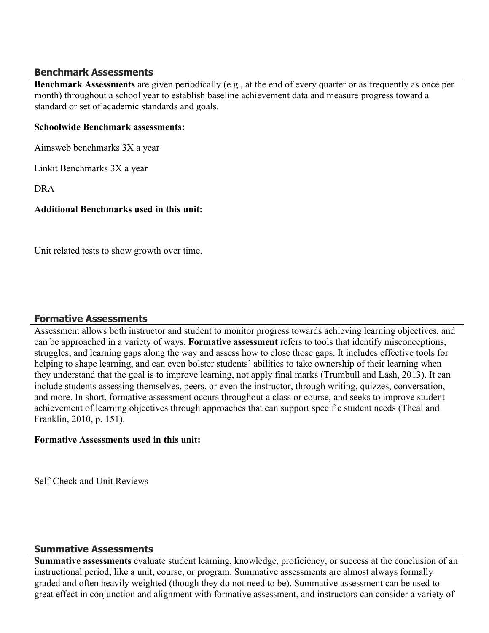#### **Benchmark Assessments**

**Benchmark Assessments** are given periodically (e.g., at the end of every quarter or as frequently as once per month) throughout a school year to establish baseline achievement data and measure progress toward a standard or set of academic standards and goals.

#### **Schoolwide Benchmark assessments:**

Aimsweb benchmarks 3X a year

Linkit Benchmarks 3X a year

DRA

## **Additional Benchmarks used in this unit:**

Unit related tests to show growth over time.

## **Formative Assessments**

Assessment allows both instructor and student to monitor progress towards achieving learning objectives, and can be approached in a variety of ways. **Formative assessment** refers to tools that identify misconceptions, struggles, and learning gaps along the way and assess how to close those gaps. It includes effective tools for helping to shape learning, and can even bolster students' abilities to take ownership of their learning when they understand that the goal is to improve learning, not apply final marks (Trumbull and Lash, 2013). It can include students assessing themselves, peers, or even the instructor, through writing, quizzes, conversation, and more. In short, formative assessment occurs throughout a class or course, and seeks to improve student achievement of learning objectives through approaches that can support specific student needs (Theal and Franklin, 2010, p. 151).

#### **Formative Assessments used in this unit:**

Self-Check and Unit Reviews

## **Summative Assessments**

**Summative assessments** evaluate student learning, knowledge, proficiency, or success at the conclusion of an instructional period, like a unit, course, or program. Summative assessments are almost always formally graded and often heavily weighted (though they do not need to be). Summative assessment can be used to great effect in conjunction and alignment with formative assessment, and instructors can consider a variety of